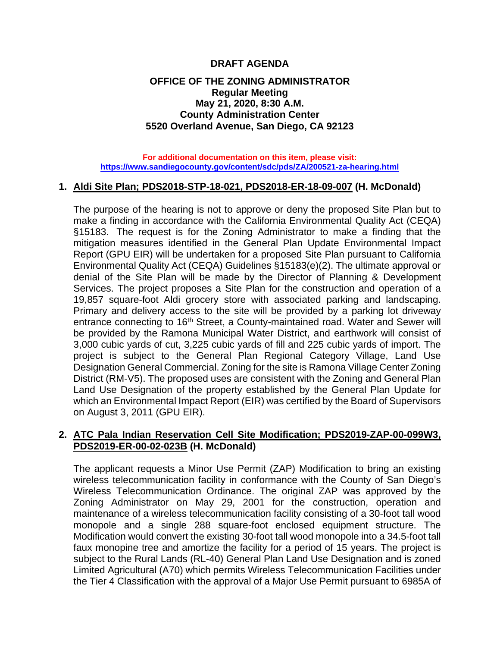# **DRAFT AGENDA**

### **OFFICE OF THE ZONING ADMINISTRATOR Regular Meeting May 21, 2020, 8:30 A.M. County Administration Center 5520 Overland Avenue, San Diego, CA 92123**

**For additional documentation on this item, please visit: <https://www.sandiegocounty.gov/content/sdc/pds/ZA/200521-za-hearing.html>**

#### **1. Aldi Site Plan; PDS2018-STP-18-021, PDS2018-ER-18-09-007 (H. McDonald)**

The purpose of the hearing is not to approve or deny the proposed Site Plan but to make a finding in accordance with the California Environmental Quality Act (CEQA) §15183. The request is for the Zoning Administrator to make a finding that the mitigation measures identified in the General Plan Update Environmental Impact Report (GPU EIR) will be undertaken for a proposed Site Plan pursuant to California Environmental Quality Act (CEQA) Guidelines §15183(e)(2). The ultimate approval or denial of the Site Plan will be made by the Director of Planning & Development Services. The project proposes a Site Plan for the construction and operation of a 19,857 square-foot Aldi grocery store with associated parking and landscaping. Primary and delivery access to the site will be provided by a parking lot driveway entrance connecting to 16<sup>th</sup> Street, a County-maintained road. Water and Sewer will be provided by the Ramona Municipal Water District, and earthwork will consist of 3,000 cubic yards of cut, 3,225 cubic yards of fill and 225 cubic yards of import. The project is subject to the General Plan Regional Category Village, Land Use Designation General Commercial. Zoning for the site is Ramona Village Center Zoning District (RM-V5). The proposed uses are consistent with the Zoning and General Plan Land Use Designation of the property established by the General Plan Update for which an Environmental Impact Report (EIR) was certified by the Board of Supervisors on August 3, 2011 (GPU EIR).

# **2. ATC Pala Indian Reservation Cell Site Modification; PDS2019-ZAP-00-099W3, PDS2019-ER-00-02-023B (H. McDonald)**

The applicant requests a Minor Use Permit (ZAP) Modification to bring an existing wireless telecommunication facility in conformance with the County of San Diego's Wireless Telecommunication Ordinance. The original ZAP was approved by the Zoning Administrator on May 29, 2001 for the construction, operation and maintenance of a wireless telecommunication facility consisting of a 30-foot tall wood monopole and a single 288 square-foot enclosed equipment structure. The Modification would convert the existing 30-foot tall wood monopole into a 34.5-foot tall faux monopine tree and amortize the facility for a period of 15 years. The project is subject to the Rural Lands (RL-40) General Plan Land Use Designation and is zoned Limited Agricultural (A70) which permits Wireless Telecommunication Facilities under the Tier 4 Classification with the approval of a Major Use Permit pursuant to 6985A of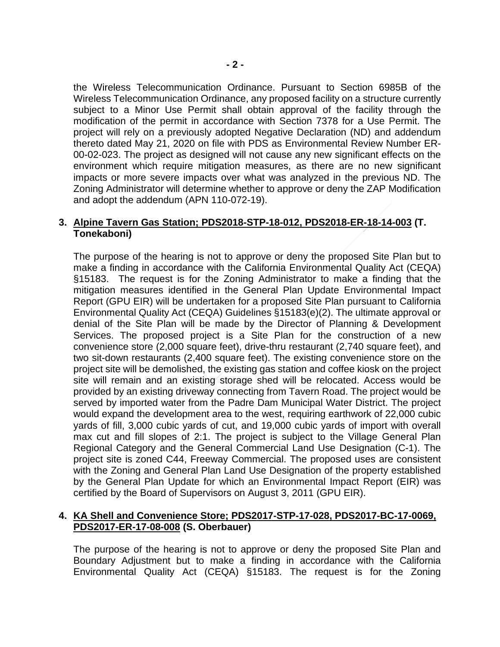the Wireless Telecommunication Ordinance. Pursuant to Section 6985B of the Wireless Telecommunication Ordinance, any proposed facility on a structure currently subject to a Minor Use Permit shall obtain approval of the facility through the modification of the permit in accordance with Section 7378 for a Use Permit. The project will rely on a previously adopted Negative Declaration (ND) and addendum thereto dated May 21, 2020 on file with PDS as Environmental Review Number ER-00-02-023. The project as designed will not cause any new significant effects on the environment which require mitigation measures, as there are no new significant impacts or more severe impacts over what was analyzed in the previous ND. The Zoning Administrator will determine whether to approve or deny the ZAP Modification and adopt the addendum (APN 110-072-19).

### **3. Alpine Tavern Gas Station; PDS2018-STP-18-012, PDS2018-ER-18-14-003 (T. Tonekaboni)**

The purpose of the hearing is not to approve or deny the proposed Site Plan but to make a finding in accordance with the California Environmental Quality Act (CEQA) §15183. The request is for the Zoning Administrator to make a finding that the mitigation measures identified in the General Plan Update Environmental Impact Report (GPU EIR) will be undertaken for a proposed Site Plan pursuant to California Environmental Quality Act (CEQA) Guidelines §15183(e)(2). The ultimate approval or denial of the Site Plan will be made by the Director of Planning & Development Services. The proposed project is a Site Plan for the construction of a new convenience store (2,000 square feet), drive-thru restaurant (2,740 square feet), and two sit-down restaurants (2,400 square feet). The existing convenience store on the project site will be demolished, the existing gas station and coffee kiosk on the project site will remain and an existing storage shed will be relocated. Access would be provided by an existing driveway connecting from Tavern Road. The project would be served by imported water from the Padre Dam Municipal Water District. The project would expand the development area to the west, requiring earthwork of 22,000 cubic yards of fill, 3,000 cubic yards of cut, and 19,000 cubic yards of import with overall max cut and fill slopes of 2:1. The project is subject to the Village General Plan Regional Category and the General Commercial Land Use Designation (C-1). The project site is zoned C44, Freeway Commercial. The proposed uses are consistent with the Zoning and General Plan Land Use Designation of the property established by the General Plan Update for which an Environmental Impact Report (EIR) was certified by the Board of Supervisors on August 3, 2011 (GPU EIR).

# **4. KA Shell and Convenience Store; PDS2017-STP-17-028, PDS2017-BC-17-0069, PDS2017-ER-17-08-008 (S. Oberbauer)**

The purpose of the hearing is not to approve or deny the proposed Site Plan and Boundary Adjustment but to make a finding in accordance with the California Environmental Quality Act (CEQA) §15183. The request is for the Zoning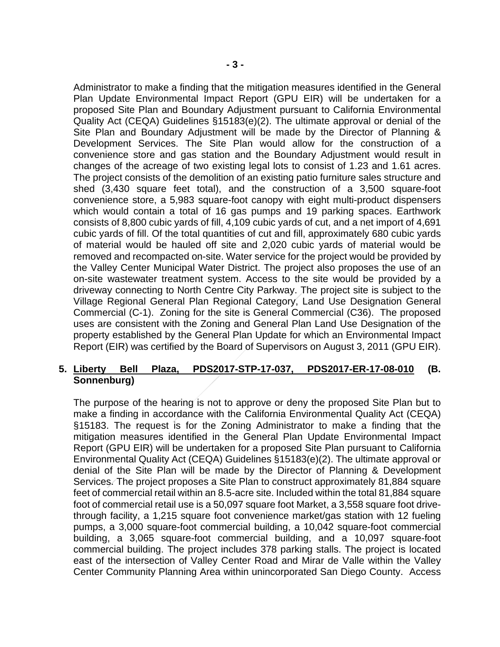Administrator to make a finding that the mitigation measures identified in the General Plan Update Environmental Impact Report (GPU EIR) will be undertaken for a proposed Site Plan and Boundary Adjustment pursuant to California Environmental Quality Act (CEQA) Guidelines §15183(e)(2). The ultimate approval or denial of the Site Plan and Boundary Adjustment will be made by the Director of Planning & Development Services. The Site Plan would allow for the construction of a convenience store and gas station and the Boundary Adjustment would result in changes of the acreage of two existing legal lots to consist of 1.23 and 1.61 acres. The project consists of the demolition of an existing patio furniture sales structure and shed (3,430 square feet total), and the construction of a 3,500 square-foot convenience store, a 5,983 square-foot canopy with eight multi-product dispensers which would contain a total of 16 gas pumps and 19 parking spaces. Earthwork consists of 8,800 cubic yards of fill, 4,109 cubic yards of cut, and a net import of 4,691 cubic yards of fill. Of the total quantities of cut and fill, approximately 680 cubic yards of material would be hauled off site and 2,020 cubic yards of material would be removed and recompacted on-site. Water service for the project would be provided by the Valley Center Municipal Water District. The project also proposes the use of an on-site wastewater treatment system. Access to the site would be provided by a driveway connecting to North Centre City Parkway. The project site is subject to the Village Regional General Plan Regional Category, Land Use Designation General Commercial (C-1). Zoning for the site is General Commercial (C36). The proposed uses are consistent with the Zoning and General Plan Land Use Designation of the property established by the General Plan Update for which an Environmental Impact Report (EIR) was certified by the Board of Supervisors on August 3, 2011 (GPU EIR).

# **5. Liberty Bell Plaza, PDS2017-STP-17-037, PDS2017-ER-17-08-010 (B. Sonnenburg)**

The purpose of the hearing is not to approve or deny the proposed Site Plan but to make a finding in accordance with the California Environmental Quality Act (CEQA) §15183. The request is for the Zoning Administrator to make a finding that the mitigation measures identified in the General Plan Update Environmental Impact Report (GPU EIR) will be undertaken for a proposed Site Plan pursuant to California Environmental Quality Act (CEQA) Guidelines §15183(e)(2). The ultimate approval or denial of the Site Plan will be made by the Director of Planning & Development Services. The project proposes a Site Plan to construct approximately 81,884 square feet of commercial retail within an 8.5-acre site. Included within the total 81,884 square foot of commercial retail use is a 50,097 square foot Market, a 3,558 square foot drivethrough facility, a 1,215 square foot convenience market/gas station with 12 fueling pumps, a 3,000 square-foot commercial building, a 10,042 square-foot commercial building, a 3,065 square-foot commercial building, and a 10,097 square-foot commercial building. The project includes 378 parking stalls. The project is located east of the intersection of Valley Center Road and Mirar de Valle within the Valley Center Community Planning Area within unincorporated San Diego County. Access